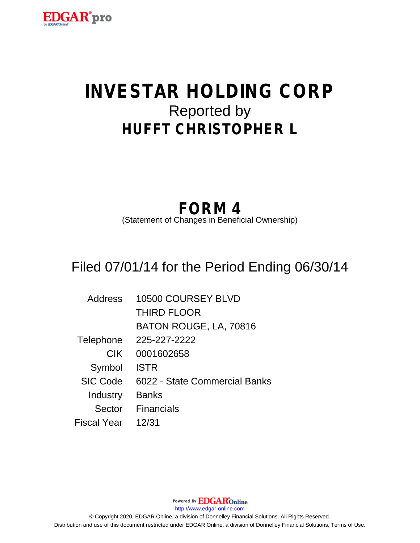

# **INVESTAR HOLDING CORP** Reported by **HUFFT CHRISTOPHER L**

## **FORM 4**

(Statement of Changes in Beneficial Ownership)

## Filed 07/01/14 for the Period Ending 06/30/14

| <b>Address</b>  | 10500 COURSEY BLVD            |
|-----------------|-------------------------------|
|                 | <b>THIRD FLOOR</b>            |
|                 | BATON ROUGE, LA, 70816        |
| Telephone       | 225-227-2222                  |
| <b>CIK</b>      | 0001602658                    |
| Symbol          | <b>ISTR</b>                   |
| <b>SIC Code</b> | 6022 - State Commercial Banks |
| Industry        | <b>Banks</b>                  |
| Sector          | <b>Financials</b>             |
| Fiscal Year     | 12/31                         |

Powered By **EDGAR**Online http://www.edgar-online.com © Copyright 2020, EDGAR Online, a division of Donnelley Financial Solutions. All Rights Reserved. Distribution and use of this document restricted under EDGAR Online, a division of Donnelley Financial Solutions, Terms of Use.